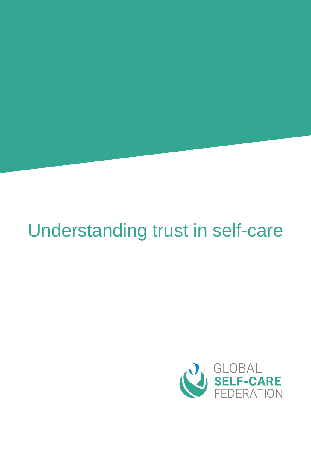# Understanding trust in self-care

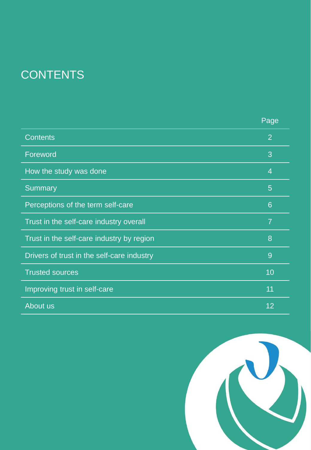# **CONTENTS**

|                                            | Page            |
|--------------------------------------------|-----------------|
| <b>Contents</b>                            | 2               |
| Foreword                                   | 3               |
| How the study was done                     | $\overline{4}$  |
| <b>Summary</b>                             | $5\overline{)}$ |
| Perceptions of the term self-care          | 6               |
| Trust in the self-care industry overall    | $\overline{7}$  |
| Trust in the self-care industry by region  | 8               |
| Drivers of trust in the self-care industry | 9               |
| <b>Trusted sources</b>                     | 10              |
| Improving trust in self-care               | 11              |
| About us                                   | 12              |

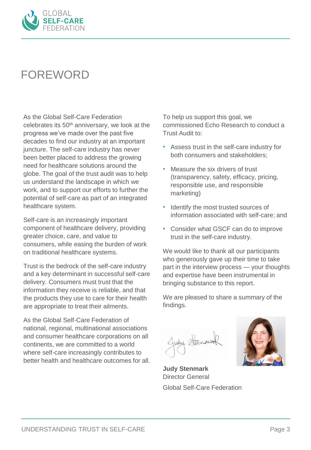

#### FOREWORD

As the Global Self-Care Federation celebrates its 50th anniversary, we look at the progress we've made over the past five decades to find our industry at an important juncture. The self-care industry has never been better placed to address the growing need for healthcare solutions around the globe. The goal of the trust audit was to help us understand the landscape in which we work, and to support our efforts to further the potential of self-care as part of an integrated healthcare system.

Self-care is an increasingly important component of healthcare delivery, providing greater choice, care, and value to consumers, while easing the burden of work on traditional healthcare systems.

Trust is the bedrock of the self-care industry and a key determinant in successful self-care delivery. Consumers must trust that the information they receive is reliable, and that the products they use to care for their health are appropriate to treat their ailments.

As the Global Self-Care Federation of national, regional, multinational associations and consumer healthcare corporations on all continents, we are committed to a world where self-care increasingly contributes to better health and healthcare outcomes for all. To help us support this goal, we commissioned Echo Research to conduct a Trust Audit to:

- Assess trust in the self-care industry for both consumers and stakeholders;
- Measure the six drivers of trust (transparency, safety, efficacy, pricing, responsible use, and responsible marketing)
- Identify the most trusted sources of information associated with self-care; and
- Consider what GSCF can do to improve trust in the self-care industry.

We would like to thank all our participants who generously gave up their time to take part in the interview process — your thoughts and expertise have been instrumental in bringing substance to this report.

We are pleased to share a summary of the findings.



**Judy Stenmark** Director General Global Self-Care Federation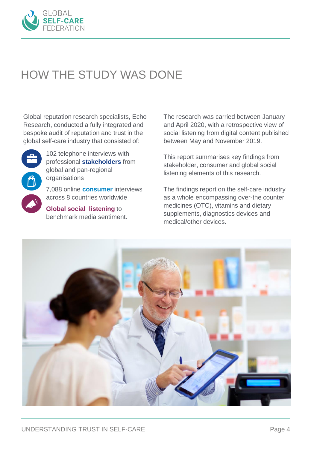

#### HOW THE STUDY WAS DONE

Global reputation research specialists, Echo Research, conducted a fully integrated and bespoke audit of reputation and trust in the global self-care industry that consisted of:



102 telephone interviews with professional **stakeholders** from global and pan-regional organisations

7,088 online **consumer** interviews across 8 countries worldwide

**Global social listening** to benchmark media sentiment. The research was carried between January and April 2020, with a retrospective view of social listening from digital content published between May and November 2019.

This report summarises key findings from stakeholder, consumer and global social listening elements of this research.

The findings report on the self-care industry as a whole encompassing over-the counter medicines (OTC), vitamins and dietary supplements, diagnostics devices and medical/other devices.

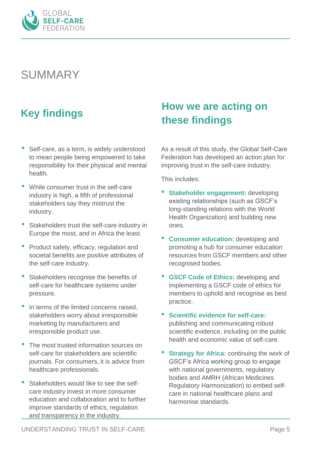

#### SUMMARY

- Self-care, as a term, is widely understood to mean people being empowered to take responsibility for their physical and mental health.
- While consumer trust in the self-care industry is high, a fifth of professional stakeholders say they mistrust the industry.
- Stakeholders trust the self-care industry in Europe the most, and in Africa the least.
- Product safety, efficacy, regulation and societal benefits are positive attributes of the self-care industry.
- Stakeholders recognise the benefits of self-care for healthcare systems under pressure.
- In terms of the limited concerns raised. stakeholders worry about irresponsible marketing by manufacturers and irresponsible product use.
- The most trusted information sources on self-care for stakeholders are scientific journals. For consumers, it is advice from healthcare professionals.
- Stakeholders would like to see the selfcare industry invest in more consumer education and collaboration and to further improve standards of ethics, regulation and transparency in the industry.

#### **How we are acting on these findings Key findings**

As a result of this study, the Global Self-Care Federation has developed an action plan for improving trust in the self-care industry.

This includes:

- **Stakeholder engagement:** developing existing relationships (such as GSCF's long-standing relations with the World Health Organization) and building new ones.
- **Consumer education:** developing and promoting a hub for consumer education resources from GSCF members and other recognised bodies.
- **GSCF Code of Ethics:** developing and implementing a GSCF code of ethics for members to uphold and recognise as best practice.
- **Scientific evidence for self-care:**  publishing and communicating robust scientific evidence, including on the public health and economic value of self-care.
- **Strategy for Africa: continuing the work of** GSCF's Africa working group to engage with national governments, regulatory bodies and AMRH (African Medicines Regulatory Harmonization) to embed selfcare in national healthcare plans and harmonise standards.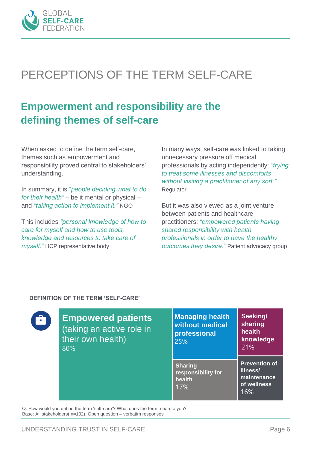

# PERCEPTIONS OF THE TERM SELF-CARE

#### **Empowerment and responsibility are the defining themes of self-care**

When asked to define the term self-care, themes such as empowerment and responsibility proved central to stakeholders' understanding.

In summary, it is "*people deciding what to do for their health"* – be it mental or physical – and *"taking action to implement it."* NGO

This includes *"personal knowledge of how to care for myself and how to use tools, knowledge and resources to take care of myself."* HCP representative body

In many ways, self-care was linked to taking unnecessary pressure off medical professionals by acting independently: *"trying to treat some illnesses and discomforts without visiting a practitioner of any sort."*  Regulator

But it was also viewed as a joint venture between patients and healthcare practitioners: *"empowered patients having shared responsibility with health professionals in order to have the healthy outcomes they desire."* Patient advocacy group

#### **DEFINITION OF THE TERM 'SELF-CARE'**



**Empowered patients**  (taking an active role in their own health) 80%

| <b>Managing health</b><br>without medical<br>professional<br>25% | Seeking/<br>sharing<br>health<br>knowledge<br>21%                     |
|------------------------------------------------------------------|-----------------------------------------------------------------------|
| <b>Sharing</b><br>responsibility for<br>health<br>17%            | <b>Prevention of</b><br>illness/<br>maintenance<br>of wellness<br>16% |

Q. How would you define the term 'self-care'? What does the term mean to you? Base: All stakeholders( n=102). Open question – verbatim responses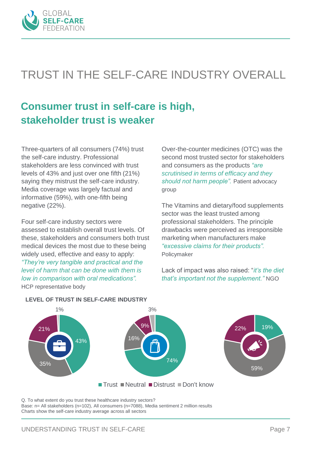

# TRUST IN THE SELF-CARE INDUSTRY OVERALL

#### **Consumer trust in self-care is high, stakeholder trust is weaker**

Three-quarters of all consumers (74%) trust the self-care industry. Professional stakeholders are less convinced with trust levels of 43% and just over one fifth (21%) saying they mistrust the self-care industry. Media coverage was largely factual and informative (59%), with one-fifth being negative (22%).

Four self-care industry sectors were assessed to establish overall trust levels. Of these, stakeholders and consumers both trust medical devices the most due to these being widely used, effective and easy to apply: *"They're very tangible and practical and the level of harm that can be done with them is low in comparison with oral medications".*  HCP representative body

Over-the-counter medicines (OTC) was the second most trusted sector for stakeholders and consumers as the products *"are scrutinised in terms of efficacy and they should not harm people".* Patient advocacy group

The Vitamins and dietary/food supplements sector was the least trusted among professional stakeholders. The principle drawbacks were perceived as irresponsible marketing when manufacturers make *"excessive claims for their products".*  Policymaker

Lack of impact was also raised: "*it's the diet that's important not the supplement."* NGO



#### **LEVEL OF TRUST IN SELF-CARE INDUSTRY**

Q. To what extent do you trust these healthcare industry sectors?

Base: n= All stakeholders (n=102), All consumers (n=7088), Media sentiment 2 million results Charts show the self-care industry average across all sectors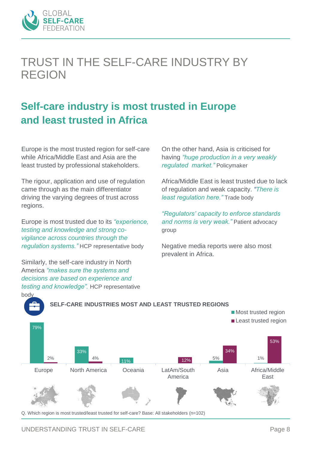

#### TRUST IN THE SELF-CARE INDUSTRY BY REGION

#### **Self-care industry is most trusted in Europe and least trusted in Africa**

Europe is the most trusted region for self-care while Africa/Middle East and Asia are the least trusted by professional stakeholders.

The rigour, application and use of regulation came through as the main differentiator driving the varying degrees of trust across regions.

Europe is most trusted due to its *"experience, testing and knowledge and strong covigilance across countries through the regulation systems."* HCP representative body

Similarly, the self-care industry in North America *"makes sure the systems and decisions are based on experience and testing and knowledge".* HCP representative On the other hand, Asia is criticised for having *"huge production in a very weakly regulated market."* Policymaker

Africa/Middle East is least trusted due to lack of regulation and weak capacity. *"There is least regulation here."* Trade body

*"Regulators' capacity to enforce standards and norms is very weak."* Patient advocacy group

Negative media reports were also most prevalent in Africa.



Q. Which region is most trusted/least trusted for self-care? Base: All stakeholders (n=102)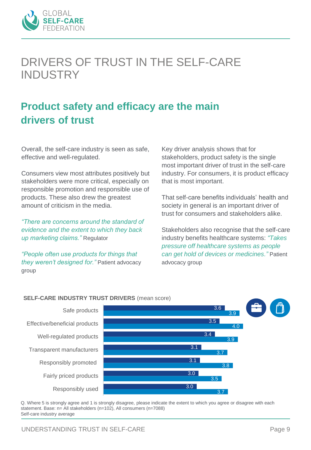

#### DRIVERS OF TRUST IN THE SELF-CARE INDUSTRY

#### **Product safety and efficacy are the main drivers of trust**

Overall, the self-care industry is seen as safe, effective and well-regulated.

Consumers view most attributes positively but stakeholders were more critical, especially on responsible promotion and responsible use of products. These also drew the greatest amount of criticism in the media.

*"There are concerns around the standard of evidence and the extent to which they back up marketing claims."* Regulator

*"People often use products for things that they weren't designed for."* Patient advocacy group

Key driver analysis shows that for stakeholders, product safety is the single most important driver of trust in the self-care industry. For consumers, it is product efficacy that is most important.

That self-care benefits individuals' health and society in general is an important driver of trust for consumers and stakeholders alike.

Stakeholders also recognise that the self-care industry benefits healthcare systems: *"Takes pressure off healthcare systems as people can get hold of devices or medicines."* Patient advocacy group



**SELF-CARE INDUSTRY TRUST DRIVERS** (mean score)

Q. Where 5 is strongly agree and 1 is strongly disagree, please indicate the extent to which you agree or disagree with each statement. Base: n= All stakeholders (n=102), All consumers (n=7088) Self-care industry average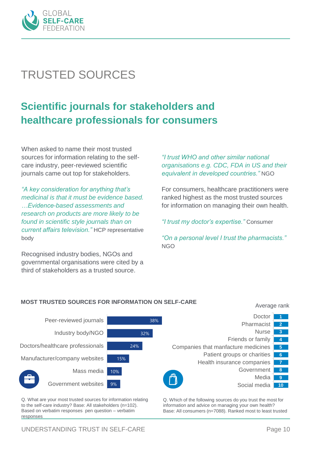

# TRUSTED SOURCES

#### **Scientific journals for stakeholders and healthcare professionals for consumers**

When asked to name their most trusted sources for information relating to the selfcare industry, peer-reviewed scientific journals came out top for stakeholders.

*"A key consideration for anything that's medicinal is that it must be evidence based. …Evidence-based assessments and research on products are more likely to be found in scientific style journals than on current affairs television."* HCP representative body

Recognised industry bodies, NGOs and governmental organisations were cited by a third of stakeholders as a trusted source.

*"I trust WHO and other similar national organisations e.g. CDC, FDA in US and their equivalent in developed countries."* NGO

For consumers, healthcare practitioners were ranked highest as the most trusted sources for information on managing their own health.

*"I trust my doctor's expertise."* Consumer

*"On a personal level I trust the pharmacists."*  NGO

#### **MOST TRUSTED SOURCES FOR INFORMATION ON SELF-CARE** Average rank



Q. What are your most trusted sources for information relating to the self-care industry? Base: All stakeholders (n=102). Based on verbatim responses pen question – verbatim responses

Q. Which of the following sources do you trust the most for information and advice on managing your own health? Base: All consumers (n=7088). Ranked most to least trusted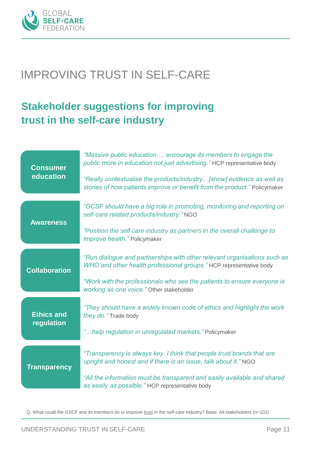

#### IMPROVING TRUST IN SELF-CARE

#### **Stakeholder suggestions for improving trust in the self-care industry**

| <b>Consumer</b><br>education    | "Massive public education. encourage its members to engage the<br>public more in education not just advertising." HCP representative body          |
|---------------------------------|----------------------------------------------------------------------------------------------------------------------------------------------------|
|                                 | "Really contextualise the products/industry[show] evidence as well as<br>stories of how patients improve or benefit from the product." Policymaker |
| <b>Awareness</b>                | "GCSF should have a big role in promoting, monitoring and reporting on<br>self-care related products/industry." NGO                                |
|                                 | "Position the self care industry as partners in the overall challenge to<br><i>improve health.</i> " Policymaker                                   |
| <b>Collaboration</b>            | "Run dialogue and partnerships with other relevant organisations such as<br>WHO and other health professional groups." HCP representative body     |
|                                 | "Work with the professionals who see the patients to ensure everyone is<br>working as one voice." Other stakeholder                                |
| <b>Ethics and</b><br>regulation | "They should have a widely known code of ethics and highlight the work<br>they do." Trade body                                                     |
|                                 | "help regulation in unregulated markets." Policymaker                                                                                              |
| <b>Transparency</b>             | "Transparency is always key. I think that people trust brands that are<br>upright and honest and if there is an issue, talk about it." NGO         |
|                                 | "All the information must be transparent and easily available and shared<br>as easily as possible." HCP representative body                        |

Q. What could the GSCF and its members do to improve trust in the self-care industry? Base: All stakeholders (n=102)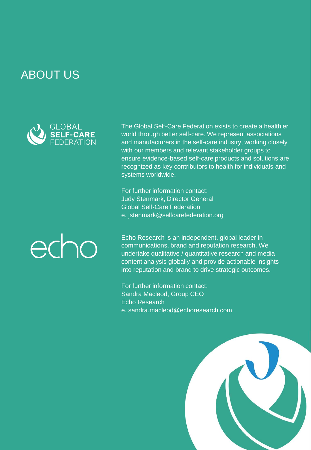#### ABOUT US



The Global Self-Care Federation exists to create a healthier world through better self-care. We represent associations and manufacturers in the self-care industry, working closely with our members and relevant stakeholder groups to ensure evidence-based self-care products and solutions are recognized as key contributors to health for individuals and systems worldwide.

For further information contact: Judy Stenmark, Director General Global Self-Care Federation e. jstenmark@selfcarefederation.org

# echo

Echo Research is an independent, global leader in communications, brand and reputation research. We undertake qualitative / quantitative research and media content analysis globally and provide actionable insights into reputation and brand to drive strategic outcomes.

For further information contact: Sandra Macleod, Group CEO Echo Research e. sandra.macleod@echoresearch.com